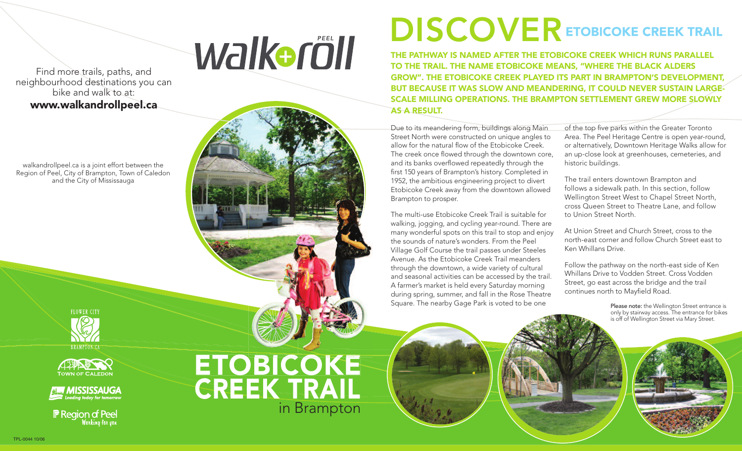## walkeröll

Find more trails, paths, and neighbourhood destinations you can bike and walk to at: **www.walkandrollpeel.ca**

walkandrollpeel.ca is a joint effort between the Region of Peel, City of Brampton, Town of Caledon and the City of Mississauga







**F** Region of Peel



## **DISCOVER** ETOBICOKE CREEK TRAIL

**THE PATHWAY IS NAMED AFTER THE ETOBICOKE CREEK WHICH RUNS PARALLEL TO THE TRAIL. THE NAME ETOBICOKE MEANS, "WHERE THE BLACK ALDERS GROW". THE ETOBICOKE CREEK PLAYED ITS PART IN BRAMPTON'S DEVELOPMENT, BUT BECAUSE IT WAS SLOW AND MEANDERING, IT COULD NEVER SUSTAIN LARGE-SCALE MILLING OPERATIONS. THE BRAMPTON SETTLEMENT GREW MORE SLOWLY AS A RESULT.**

Due to its meandering form, buildings along Main Street North were constructed on unique angles to allow for the natural flow of the Etobicoke Creek. The creek once flowed through the downtown core, and its banks overflowed repeatedly through the first 150 years of Brampton's history. Completed in 1952, the ambitious engineering project to divert Etobicoke Creek away from the downtown allowed Brampton to prosper.

The multi-use Etobicoke Creek Trail is suitable for walking, jogging, and cycling year-round. There are many wonderful spots on this trail to stop and enjoy the sounds of nature's wonders. From the Peel Village Golf Course the trail passes under Steeles Avenue. As the Etobicoke Creek Trail meanders through the downtown, a wide variety of cultural and seasonal activities can be accessed by the trail. A farmer's market is held every Saturday morning during spring, summer, and fall in the Rose Theatre Square. The nearby Gage Park is voted to be one

of the top five parks within the Greater Toronto Area. The Peel Heritage Centre is open year-round, or alternatively, Downtown Heritage Walks allow for an up-close look at greenhouses, cemeteries, and historic buildings.

The trail enters downtown Brampton and follows a sidewalk path. In this section, follow Wellington Street West to Chapel Street North, cross Queen Street to Theatre Lane, and follow to Union Street North.

At Union Street and Church Street, cross to the north-east corner and follow Church Street east to Ken Whillans Drive.

Follow the pathway on the north-east side of Ken Whillans Drive to Vodden Street. Cross Vodden Street, go east across the bridge and the trail continues north to Mayfield Road.

> Please note: the Wellington Street entrance is only by stairway access. The entrance for bikes is off of Wellington Street via Mary Street.



**ETOBICOKE CREEK TRAIL** in Brampton